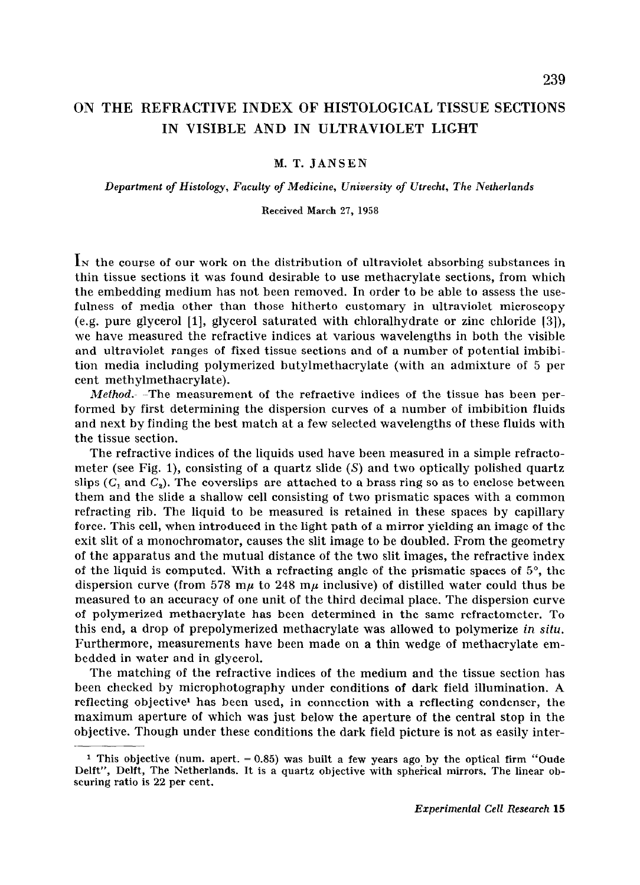# ON THE REFRACTIVE INDEX OF HISTOLOGICAL TISSUE SECTIONS IN VISIBLE AND IN ULTRAVIOLET LIGHT

#### M. T. JANSEN

#### Department of Histology, Faculty of Medicine, University of Utrecht, The Netherlands

### Received March 27, 1958

In the course of our work on the distribution of ultraviolet absorbing substances in thin tissue sections it was found desirable to use methacrylate sections, from which the embedding medium has not been removed. In order to be able to assess the usefulness of media other than those hitherto customary in ultraviolet microscopy (e.g. pure glycerol [l], glycerol saturated with chloralhydrate or zinc chloride [3]), we have measured the refractive indices at various wavelengths in both the visible and ultraviolet ranges of fixed tissue sections and of a number of potential imbibition media including polymerized butylmethacrylate (with an admixture of 5 per cent methylmethacrylate).

Method.-The measurement of the refractive indices of the tissue has been performed by first determining the dispersion curves of a number of imbibition fluids and next by finding the best match at a few selected wavelengths of these fluids with the tissue section.

The refractive indices of the liquids used have been measured in a simple refractometer (see Fig. 1), consisting of a quartz slide  $(S)$  and two optically polished quartz slips  $(C_1, C_2)$ . The coverslips are attached to a brass ring so as to enclose between them and the slide a shallow cell consisting of two prismatic spaces with a common refracting rib. The liquid to be measured is retained in these spaces by capillary force. This cell, when introduced in the light path of a mirror yielding an image of the exit slit of a monochromator, causes the slit image to be doubled. From the geometry of the apparatus and the mutual distance of the two slit images, the refractive index of the liquid is computed. With a refracting angle of the prismatic spaces of  $5^\circ$ , the dispersion curve (from 578 m $\mu$  to 248 m $\mu$  inclusive) of distilled water could thus be measured to an accuracy of one unit of the third decimal place. The dispersion curve of polymerized methacrylate has been determined in the same refractometer. To this end, a drop of prepolymerized methacrylate was allowed to polymerize in situ. Furthermore, measurements have been made on a thin wedge of methacrylate embedded in water and in glycerol,

The matching of the refractive indices of the medium and the tissue section has been checked by microphotography under conditions of dark field illumination. A reflecting objective<sup>1</sup> has been used, in connection with a reflecting condenser, the maximum aperture of which was just below the aperture of the central stop in the objective. Though under these conditions the dark field picture is not as easily inter-

<sup>&</sup>lt;sup>1</sup> This objective (num. apert.  $= 0.85$ ) was built a few years ago by the optical firm "Oude Delft", Delft, The Netherlands. It is a quartz objective with spheiical mirrors. The linear obscuring ratio is 22 per cent.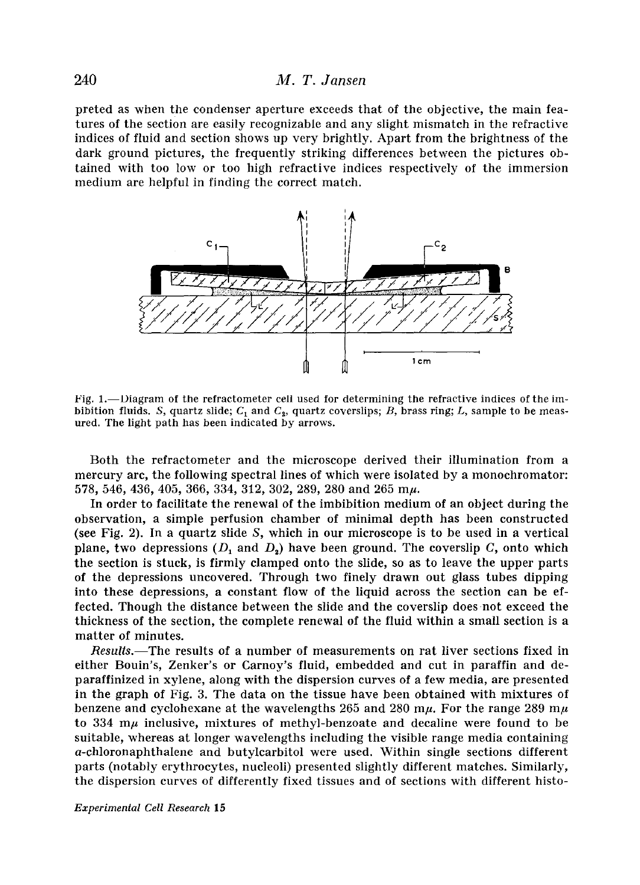preted as when the condenser aperture exceeds that of the objective, the main features of the section are easily recognizable and any slight mismatch in the refractive indices of fluid and section shows up very brightly. Apart from the brightness of the dark ground pictures, the frequently striking differences between the pictures obtained with too low or too high refractive indices respectively of the immersion medium are helpful in finding the correct match.



Fig. 1.—Diagram of the refractometer cell used for determining the refractive indices of the imbibition fluids. S, quartz slide;  $C_1$  and  $C_2$ , quartz coverslips; B, brass ring; L, sample to be measured. The light path has been indicated by arrows.

Both the refractometer and the microscope derived their illumination from a mercury arc, the following spectral lines of which were isolated by a monochromator: 578, 546, 436, 405, 366, 334, 312, 302, 289, 280 and 265 m $\mu$ .

In order to facilitate the renewal of the imbibition medium of an object during the observation, a simple perfusion chamber of minimal depth has been constructed (see Fig. 2). In a quartz slide S, which in our microscope is to be used in a vertical plane, two depressions ( $D_1$  and  $D_2$ ) have been ground. The coverslip C, onto which the section is stuck, is firmly clamped onto the slide, so as to leave the upper parts of the depressions uncovered. Through two finely drawn out glass tubes dipping into these depressions, a constant flow of the liquid across the section can be effected. Though the distance between the slide and the coverslip does not exceed the thickness of the section, the complete renewal of the fluid within a small section is a matter of minutes.

Results.—The results of a number of measurements on rat liver sections fixed in either Bouin's, Zenker's or Carnoy's fluid, embedded and cut in paraffin and deparaffinized in xylene, along with the dispersion curves of a few media, are presented in the graph of Fig. 3. The data on the tissue have been obtained with mixtures of benzene and cyclohexane at the wavelengths 265 and 280 m $\mu$ . For the range 289 m $\mu$ to 334  $m\mu$  inclusive, mixtures of methyl-benzoate and decaline were found to be suitable, whereas at longer wavelengths including the visible range media containing a-chloronaphthalene and butylcarbitol were used. Within single sections different parts (notably erythrocytes, nucleoli) presented slightly different matches. Similarly, the dispersion curves of differently fixed tissues and of sections with different histo-

Experimental Cell Research 15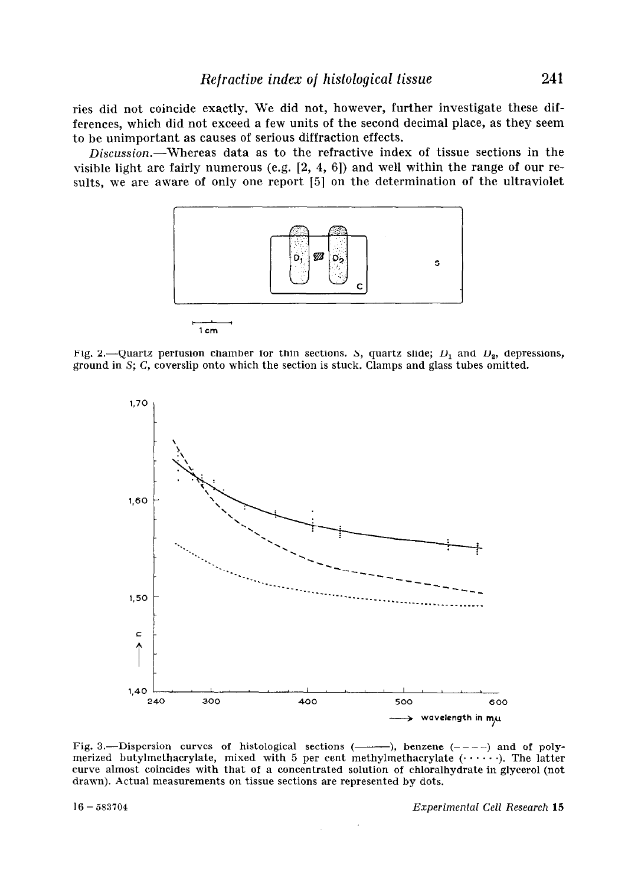ries did not coincide exactly. We did not, however, further investigate these differences, which did not exceed a few units of the second decimal place, as they seem to be unimportant as causes of serious diffraction effects.

Discussion.-Whereas data as to the refractive index of tissue sections in the visible light are fairly numerous (e.g.  $[2, 4, 6]$ ) and well within the range of our results, we are aware of only one report [5] on the determination of the ultraviolet



Fig. 2.—Quartz perfusion chamber for thin sections. S, quartz slide;  $D_1$  and  $D_2$ , depressions, ground in S; C, coverslip onto which the section is stuck. Clamps and glass tubes omitted.



Fig. 3.—Dispersion curves of histological sections  $($ ——), benzene  $($ ---) and of polymerized butylmethacrylate, mixed with 5 per cent methylmethacrylate  $(\cdots \cdots)$ . The latter curve almost coincides with that of a concentrated solution of chloralhydrate in glycerol (not drawn). Actual measurements on tissue sections are represented by dots.

16 - G83704 Experimental Cell Research 15